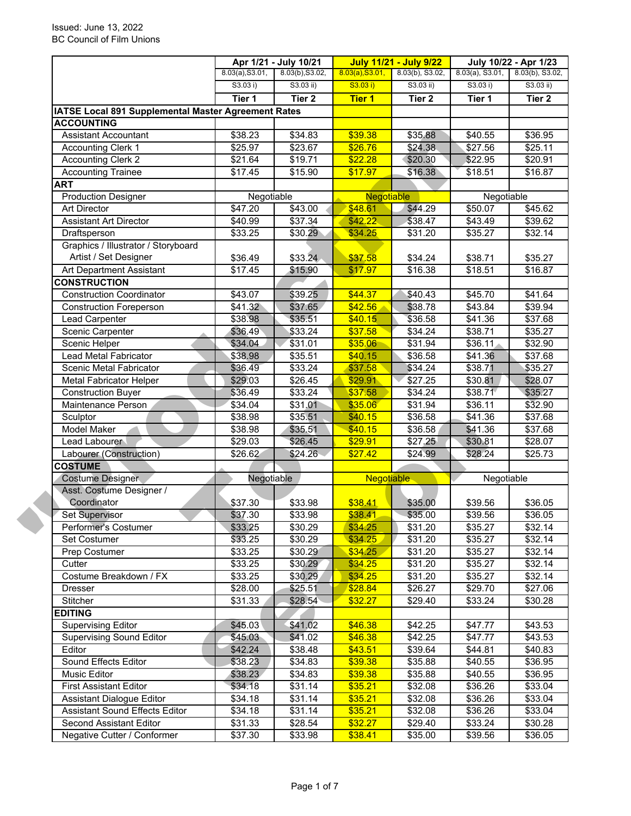|                                                     | Apr 1/21 - July 10/21 |                     | <b>July 11/21 - July 9/22</b> |                     | July 10/22 - Apr 1/23 |                     |
|-----------------------------------------------------|-----------------------|---------------------|-------------------------------|---------------------|-----------------------|---------------------|
|                                                     | 8.03(a), S3.01,       | 8.03(b), S3.02,     | 8.03(a), S3.01,               | 8.03(b), S3.02,     | $8.03(a)$ , S3.01,    | 8.03(b), S3.02,     |
|                                                     | S3.03 i)              | $S3.03$ ii)         | S3.03 i)                      | $S3.03$ ii)         | S3.03 i)              | $S3.03$ ii)         |
|                                                     | Tier 1                | Tier <sub>2</sub>   | <b>Tier 1</b>                 | Tier <sub>2</sub>   | Tier 1                | Tier <sub>2</sub>   |
| IATSE Local 891 Supplemental Master Agreement Rates |                       |                     |                               |                     |                       |                     |
| <b>ACCOUNTING</b>                                   |                       |                     |                               |                     |                       |                     |
| <b>Assistant Accountant</b>                         | \$38.23               | \$34.83             | \$39.38                       | \$35.88             | \$40.55               | \$36.95             |
| <b>Accounting Clerk 1</b>                           | \$25.97               | $\overline{$23.67}$ | \$26.76                       | \$24.38             | \$27.56               | $\overline{$}25.11$ |
| <b>Accounting Clerk 2</b>                           | \$21.64               | \$19.71             | \$22.28                       | \$20.30             | \$22.95               | \$20.91             |
| <b>Accounting Trainee</b>                           | \$17.45               | \$15.90             | \$17.97                       | \$16.38             | \$18.51               | $\overline{$}16.87$ |
| <b>ART</b>                                          |                       |                     |                               |                     |                       |                     |
| <b>Production Designer</b>                          | Negotiable            |                     | Negotiable                    |                     | Negotiable            |                     |
| <b>Art Director</b>                                 | \$47.20               | \$43.00             | \$48.61                       | \$44.29             | \$50.07               | \$45.62             |
| <b>Assistant Art Director</b>                       | \$40.99               | \$37.34             | \$42.22                       | \$38.47             | \$43.49               | \$39.62             |
| Draftsperson                                        | \$33.25               | \$30.29             | \$34.25                       | \$31.20             | \$35.27               | \$32.14             |
| Graphics / Illustrator / Storyboard                 |                       |                     |                               |                     |                       |                     |
| Artist / Set Designer                               | \$36.49               | \$33.24             | \$37.58                       | \$34.24             | \$38.71               | \$35.27             |
| Art Department Assistant                            | \$17.45               | \$15.90             | \$17.97                       | \$16.38             | \$18.51               | \$16.87             |
| <b>CONSTRUCTION</b>                                 |                       |                     |                               |                     |                       |                     |
| <b>Construction Coordinator</b>                     | \$43.07               | \$39.25             | \$44.37                       | \$40.43             | \$45.70               | \$41.64             |
| <b>Construction Foreperson</b>                      | \$41.32               | \$37.65             | \$42.56                       | \$38.78             | \$43.84               | \$39.94             |
| Lead Carpenter                                      | \$38.98               | \$35.51             | \$40.15                       | \$36.58             | \$41.36               | \$37.68             |
| Scenic Carpenter                                    | \$36.49               | \$33.24             | \$37.58                       | \$34.24             | \$38.71               | \$35.27             |
| Scenic Helper                                       | \$34.04               | \$31.01             | \$35.06                       | \$31.94             | \$36.11               | \$32.90             |
| Lead Metal Fabricator                               | \$38.98               | \$35.51             | \$40.15                       | \$36.58             | \$41.36               | \$37.68             |
| Scenic Metal Fabricator                             | \$36.49               | \$33.24             | \$37.58                       | \$34.24             | \$38.71               | \$35.27             |
| <b>Metal Fabricator Helper</b>                      | \$29.03               | \$26.45             | \$29.91                       | \$27.25             | \$30.81               | \$28.07             |
| <b>Construction Buyer</b>                           | \$36.49               | \$33.24             | \$37.58                       | \$34.24             | \$38.71               | \$35.27             |
| Maintenance Person                                  | \$34.04               | \$31.01             | \$35.06                       | \$31.94             | \$36.11               | \$32.90             |
| Sculptor                                            | \$38.98               | \$35.51             | \$40.15                       | $\overline{$}36.58$ | $\overline{$41.36}$   | \$37.68             |
| Model Maker                                         | \$38.98               | \$35.51             | \$40.15                       | \$36.58             | \$41.36               | \$37.68             |
| Lead Labourer                                       | \$29.03               | \$26.45             | \$29.91                       | \$27.25             | \$30.81               | \$28.07             |
| Labourer (Construction)                             | \$26.62               | \$24.26             | \$27.42                       | \$24.99             | \$28.24               | \$25.73             |
| <b>COSTUME</b>                                      |                       |                     |                               |                     |                       |                     |
| <b>Costume Designer</b>                             | Negotiable            |                     | Negotiable                    |                     | Negotiable            |                     |
| Asst. Costume Designer /                            |                       |                     |                               |                     |                       |                     |
| Coordinator                                         | \$37.30               | \$33.98             | \$38.41                       | \$35.00             | \$39.56               | \$36.05             |
| Set Supervisor                                      | \$37.30               | \$33.98             | \$38.41                       | \$35.00             | \$39.56               | \$36.05             |
| Performer's Costumer                                | \$33.25               | \$30.29             | \$34.25                       | \$31.20             | \$35.27               | \$32.14             |
| Set Costumer                                        | \$33.25               | \$30.29             | \$34.25                       | \$31.20             | \$35.27               | \$32.14             |
| Prep Costumer                                       | \$33.25               | \$30.29             | \$34.25                       | \$31.20             | \$35.27               | \$32.14             |
| Cutter                                              | \$33.25               | \$30.29             | \$34.25                       | \$31.20             | \$35.27               | \$32.14             |
| Costume Breakdown / FX                              |                       |                     | \$34.25                       |                     | \$35.27               |                     |
| <b>Dresser</b>                                      | \$33.25<br>\$28.00    | \$30.29<br>\$25.51  | \$28.84                       | \$31.20<br>\$26.27  | \$29.70               | \$32.14<br>\$27.06  |
| Stitcher                                            |                       |                     |                               |                     |                       |                     |
|                                                     | \$31.33               | \$28.54             | \$32.27                       | \$29.40             | \$33.24               | \$30.28             |
| <b>EDITING</b>                                      |                       |                     |                               |                     |                       |                     |
| <b>Supervising Editor</b>                           | \$45.03               | \$41.02             | \$46.38                       | \$42.25             | \$47.77               | \$43.53             |
| <b>Supervising Sound Editor</b>                     | \$45.03               | \$41.02             | \$46.38                       | \$42.25             | \$47.77               | \$43.53             |
| Editor                                              | \$42.24               | \$38.48             | \$43.51                       | \$39.64             | \$44.81               | \$40.83             |
| Sound Effects Editor                                | \$38.23               | \$34.83             | \$39.38                       | \$35.88             | \$40.55               | \$36.95             |
| Music Editor                                        | \$38.23               | \$34.83             | \$39.38                       | \$35.88             | \$40.55               | \$36.95             |
| <b>First Assistant Editor</b>                       | \$34.18               | \$31.14             | \$35.21                       | \$32.08             | \$36.26               | \$33.04             |
| <b>Assistant Dialogue Editor</b>                    | \$34.18               | \$31.14             | \$35.21                       | \$32.08             | \$36.26               | \$33.04             |
| <b>Assistant Sound Effects Editor</b>               | \$34.18               | \$31.14             | \$35.21                       | \$32.08             | \$36.26               | \$33.04             |
| Second Assistant Editor                             | \$31.33               | \$28.54             | \$32.27                       | \$29.40             | \$33.24               | \$30.28             |
| Negative Cutter / Conformer                         | \$37.30               | \$33.98             | \$38.41                       | \$35.00             | \$39.56               | \$36.05             |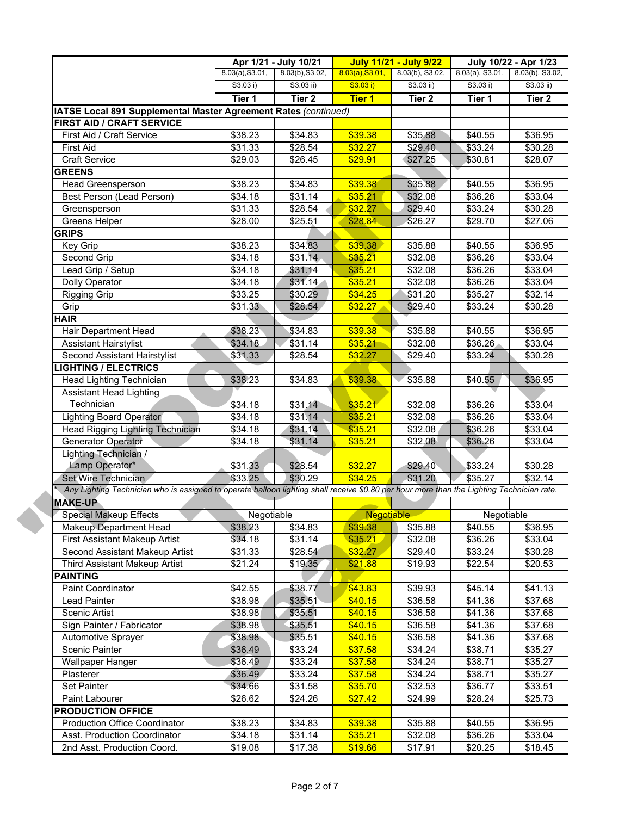|                                                                                                                                           | Apr 1/21 - July 10/21 |                 | <b>July 11/21 - July 9/22</b> |                 | July 10/22 - Apr 1/23 |                   |
|-------------------------------------------------------------------------------------------------------------------------------------------|-----------------------|-----------------|-------------------------------|-----------------|-----------------------|-------------------|
|                                                                                                                                           | 8.03(a), S3.01,       | 8.03(b), S3.02, | 8.03(a), S3.01,               | 8.03(b), S3.02, | $8.03(a)$ , S3.01,    | 8.03(b), S3.02,   |
|                                                                                                                                           | S3.03 i)              | S3.03 ii)       | S3.03 i)                      | $S3.03$ ii)     | S3.03 i)              | $S3.03$ ii)       |
|                                                                                                                                           | Tier 1                | Tier 2          | <b>Tier 1</b>                 | Tier 2          | Tier 1                | Tier <sub>2</sub> |
| IATSE Local 891 Supplemental Master Agreement Rates (continued)                                                                           |                       |                 |                               |                 |                       |                   |
| <b>FIRST AID / CRAFT SERVICE</b>                                                                                                          |                       |                 |                               |                 |                       |                   |
| First Aid / Craft Service                                                                                                                 | \$38.23               | \$34.83         | \$39.38                       | \$35.88         | \$40.55               | \$36.95           |
| <b>First Aid</b>                                                                                                                          | \$31.33               | \$28.54         | \$32.27                       | \$29.40         | \$33.24               | \$30.28           |
| <b>Craft Service</b>                                                                                                                      | \$29.03               | \$26.45         | \$29.91                       | \$27.25         | \$30.81               | \$28.07           |
| <b>GREENS</b>                                                                                                                             |                       |                 |                               |                 |                       |                   |
| <b>Head Greensperson</b>                                                                                                                  | \$38.23               | \$34.83         | \$39.38                       | \$35.88         | \$40.55               | \$36.95           |
| <b>Best Person (Lead Person)</b>                                                                                                          | \$34.18               | \$31.14         | \$35.21                       | \$32.08         | \$36.26               | \$33.04           |
| Greensperson                                                                                                                              | \$31.33               | \$28.54         | \$32.27                       | \$29.40         | \$33.24               | \$30.28           |
| Greens Helper                                                                                                                             | \$28.00               | \$25.51         | \$28.84                       | \$26.27         | \$29.70               | \$27.06           |
| <b>GRIPS</b>                                                                                                                              |                       |                 |                               |                 |                       |                   |
| Key Grip                                                                                                                                  | \$38.23               | \$34.83         | \$39.38                       | \$35.88         | \$40.55               | \$36.95           |
| Second Grip                                                                                                                               | \$34.18               | \$31.14         | \$35.21                       | \$32.08         | \$36.26               | \$33.04           |
| Lead Grip / Setup                                                                                                                         | \$34.18               | \$31.14         | \$35.21                       | \$32.08         | \$36.26               | \$33.04           |
| Dolly Operator                                                                                                                            | \$34.18               | \$31.14         | \$35.21                       | \$32.08         | \$36.26               | \$33.04           |
| <b>Rigging Grip</b>                                                                                                                       | \$33.25               | \$30.29         | \$34.25                       | \$31.20         | \$35.27               | \$32.14           |
| Grip                                                                                                                                      | \$31.33               | \$28.54         | \$32.27                       | \$29.40         | \$33.24               | \$30.28           |
| <b>HAIR</b>                                                                                                                               |                       |                 |                               |                 |                       |                   |
| Hair Department Head                                                                                                                      | \$38.23               | \$34.83         | \$39.38                       | \$35.88         | \$40.55               | \$36.95           |
| <b>Assistant Hairstylist</b>                                                                                                              | \$34.18               | \$31.14         | \$35.21                       | \$32.08         | \$36.26               | \$33.04           |
| Second Assistant Hairstylist                                                                                                              | \$31.33               | \$28.54         | \$32.27                       | \$29.40         | \$33.24               | \$30.28           |
| <b>LIGHTING / ELECTRICS</b>                                                                                                               |                       |                 |                               |                 |                       |                   |
| Head Lighting Technician                                                                                                                  | \$38.23               | \$34.83         | \$39.38                       | \$35.88         | \$40.55               | \$36.95           |
| <b>Assistant Head Lighting</b>                                                                                                            |                       |                 |                               |                 |                       |                   |
| Technician                                                                                                                                | \$34.18               | \$31.14         | \$35.21                       | \$32.08         |                       | \$33.04           |
| <b>Lighting Board Operator</b>                                                                                                            | \$34.18               | \$31.14         | \$35.21                       | \$32.08         | \$36.26               | \$33.04           |
| Head Rigging Lighting Technician                                                                                                          | \$34.18               | \$31.14         | \$35.21                       | \$32.08         | \$36.26<br>\$36.26    | \$33.04           |
|                                                                                                                                           | \$34.18               |                 |                               |                 |                       |                   |
| Generator Operator                                                                                                                        |                       | \$31.14         | \$35.21                       | \$32.08         | \$36.26               | \$33.04           |
| Lighting Technician /                                                                                                                     |                       |                 |                               |                 |                       |                   |
| Lamp Operator*                                                                                                                            | \$31.33               | \$28.54         | \$32.27                       | \$29.40         | \$33.24               | \$30.28           |
| Set Wire Technician                                                                                                                       | \$33.25               | \$30.29         | \$34.25                       | \$31.20         | \$35.27               | \$32.14           |
| Any Lighting Technician who is assigned to operate balloon lighting shall receive \$0.80 per hour more than the Lighting Technician rate. |                       |                 |                               |                 |                       |                   |
| <b>MAKE-UP</b>                                                                                                                            |                       |                 |                               |                 |                       |                   |
| <b>Special Makeup Effects</b>                                                                                                             | Negotiable            |                 | <b>Negotiable</b>             |                 | Negotiable            |                   |
| <b>Makeup Department Head</b>                                                                                                             | \$38.23               | \$34.83         | \$39.38                       | \$35.88         | \$40.55               | \$36.95           |
| First Assistant Makeup Artist                                                                                                             | \$34.18               | \$31.14         | \$35.21                       | \$32.08         | \$36.26               | \$33.04           |
| Second Assistant Makeup Artist                                                                                                            | \$31.33               | \$28.54         | \$32.27                       | \$29.40         | \$33.24               | \$30.28           |
| <b>Third Assistant Makeup Artist</b>                                                                                                      | \$21.24               | \$19.35         | \$21.88                       | \$19.93         | \$22.54               | \$20.53           |
| <b>PAINTING</b>                                                                                                                           |                       |                 |                               |                 |                       |                   |
| Paint Coordinator                                                                                                                         | \$42.55               | \$38.77         | \$43.83                       | \$39.93         | \$45.14               | \$41.13           |
| <b>Lead Painter</b>                                                                                                                       | \$38.98               | \$35.51         | \$40.15                       | \$36.58         | \$41.36               | \$37.68           |
| Scenic Artist                                                                                                                             | \$38.98               | \$35.51         | \$40.15                       | \$36.58         | \$41.36               | \$37.68           |
| Sign Painter / Fabricator                                                                                                                 | \$38.98               | \$35.51         | \$40.15                       | \$36.58         | \$41.36               | \$37.68           |
| Automotive Sprayer                                                                                                                        | \$38.98               | \$35.51         | \$40.15                       | \$36.58         | \$41.36               | \$37.68           |
| <b>Scenic Painter</b>                                                                                                                     | \$36.49               | \$33.24         | \$37.58                       | \$34.24         | \$38.71               | \$35.27           |
| Wallpaper Hanger                                                                                                                          | \$36.49               | \$33.24         | \$37.58                       | \$34.24         | \$38.71               | \$35.27           |
| Plasterer                                                                                                                                 | \$36.49               | \$33.24         | \$37.58                       | \$34.24         | \$38.71               | \$35.27           |
| Set Painter                                                                                                                               | \$34.66               | \$31.58         | \$35.70                       | \$32.53         | \$36.77               | \$33.51           |
| Paint Labourer                                                                                                                            | \$26.62               | \$24.26         | \$27.42                       | \$24.99         | \$28.24               | \$25.73           |
| <b>PRODUCTION OFFICE</b>                                                                                                                  |                       |                 |                               |                 |                       |                   |
| <b>Production Office Coordinator</b>                                                                                                      | \$38.23               | \$34.83         | \$39.38                       | \$35.88         | \$40.55               | \$36.95           |
| Asst. Production Coordinator                                                                                                              | \$34.18               | \$31.14         | \$35.21                       | \$32.08         | \$36.26               | \$33.04           |
| 2nd Asst. Production Coord.                                                                                                               | \$19.08               | \$17.38         | \$19.66                       | \$17.91         | \$20.25               | \$18.45           |
|                                                                                                                                           |                       |                 |                               |                 |                       |                   |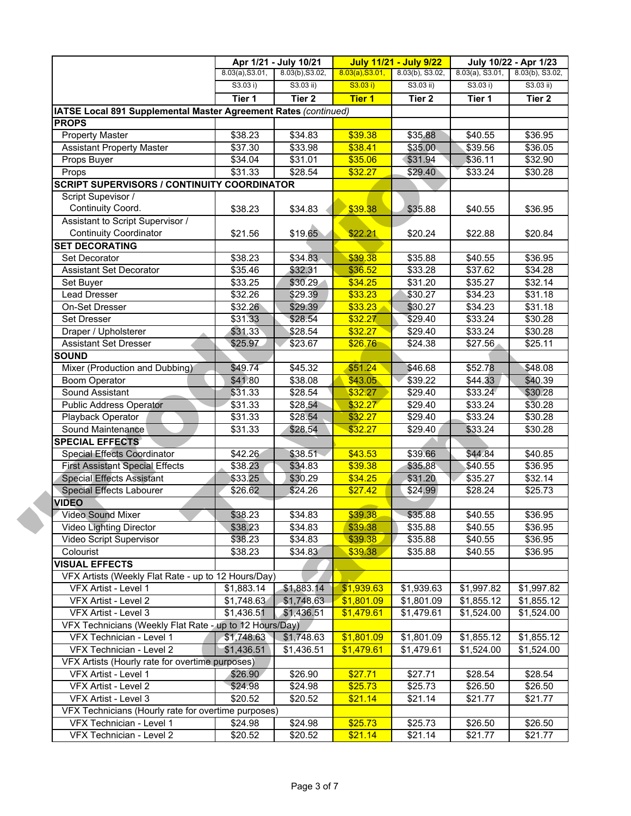|                                                                 | Apr 1/21 - July 10/21 |                 | <b>July 11/21 - July 9/22</b> |                   | July 10/22 - Apr 1/23 |                   |
|-----------------------------------------------------------------|-----------------------|-----------------|-------------------------------|-------------------|-----------------------|-------------------|
|                                                                 | 8.03(a), S3.01,       | 8.03(b), S3.02, | 8.03(a), S3.01,               | 8.03(b), S3.02,   | $8.03(a)$ , S3.01,    | 8.03(b), S3.02,   |
|                                                                 | S3.03 i)              | $S3.03$ ii)     | S3.03 i)                      | $S3.03$ ii)       | S3.03 i)              | $S3.03$ ii)       |
|                                                                 | Tier 1                | Tier 2          | <b>Tier 1</b>                 | Tier <sub>2</sub> | Tier 1                | Tier <sub>2</sub> |
| IATSE Local 891 Supplemental Master Agreement Rates (continued) |                       |                 |                               |                   |                       |                   |
| <b>PROPS</b>                                                    |                       |                 |                               |                   |                       |                   |
| <b>Property Master</b>                                          | \$38.23               | \$34.83         | \$39.38                       | \$35.88           | \$40.55               | \$36.95           |
| <b>Assistant Property Master</b>                                | \$37.30               | \$33.98         | \$38.41                       | \$35.00           | \$39.56               | \$36.05           |
| Props Buyer                                                     | \$34.04               | \$31.01         | \$35.06                       | \$31.94           | \$36.11               | \$32.90           |
| Props                                                           | \$31.33               | \$28.54         | \$32.27                       | \$29.40           | \$33.24               | \$30.28           |
| <b>SCRIPT SUPERVISORS / CONTINUITY COORDINATOR</b>              |                       |                 |                               |                   |                       |                   |
| Script Supevisor /                                              |                       |                 |                               |                   |                       |                   |
| Continuity Coord.                                               | \$38.23               | \$34.83         | \$39.38                       | \$35.88           | \$40.55               | \$36.95           |
| Assistant to Script Supervisor /                                |                       |                 |                               |                   |                       |                   |
| <b>Continuity Coordinator</b>                                   | \$21.56               | \$19.65         | \$22.21                       | \$20.24           | \$22.88               | \$20.84           |
| <b>SET DECORATING</b>                                           |                       |                 |                               |                   |                       |                   |
| Set Decorator                                                   | \$38.23               | \$34.83         | \$39.38                       | \$35.88           | \$40.55               | \$36.95           |
| <b>Assistant Set Decorator</b>                                  | \$35.46               | \$32.31         | \$36.52                       | \$33.28           | \$37.62               | \$34.28           |
| Set Buyer                                                       | \$33.25               | \$30.29         | \$34.25                       | \$31.20           | \$35.27               | \$32.14           |
| <b>Lead Dresser</b>                                             | \$32.26               | \$29.39         | \$33.23                       | \$30.27           | \$34.23               | \$31.18           |
| On-Set Dresser                                                  | \$32.26               | \$29.39         | \$33.23                       | \$30.27           | \$34.23               | \$31.18           |
| <b>Set Dresser</b>                                              | \$31.33               | \$28.54         | \$32.27                       | \$29.40           | \$33.24               | \$30.28           |
| Draper / Upholsterer                                            | \$31.33               | \$28.54         | \$32.27                       | \$29.40           | \$33.24               | \$30.28           |
| <b>Assistant Set Dresser</b>                                    | \$25.97               | \$23.67         | \$26.76                       | \$24.38           | \$27.56               | \$25.11           |
| <b>SOUND</b>                                                    |                       |                 |                               |                   |                       |                   |
| Mixer (Production and Dubbing)                                  | \$49.74               | \$45.32         | \$51.24                       | \$46.68           | \$52.78               | \$48.08           |
| <b>Boom Operator</b>                                            | \$41.80               | \$38.08         | \$43.05                       | \$39.22           | \$44.33               | \$40.39           |
| <b>Sound Assistant</b>                                          | \$31.33               | \$28.54         | \$32.27                       | \$29.40           | \$33.24               | \$30.28           |
| <b>Public Address Operator</b>                                  | \$31.33               | \$28.54         | \$32.27                       | \$29.40           | \$33.24               | \$30.28           |
| Playback Operator                                               | \$31.33               | \$28.54         | \$32.27                       | \$29.40           | \$33.24               | \$30.28           |
| Sound Maintenance                                               | \$31.33               | \$28.54         | \$32.27                       | \$29.40           | \$33.24               | \$30.28           |
| <b>SPECIAL EFFECTS</b>                                          |                       |                 |                               |                   |                       |                   |
| <b>Special Effects Coordinator</b>                              | \$42.26               | \$38.51         | \$43.53                       | \$39.66           | \$44.84               | \$40.85           |
| <b>First Assistant Special Effects</b>                          | \$38.23               | \$34.83         | \$39.38                       | \$35.88           | \$40.55               | \$36.95           |
| <b>Special Effects Assistant</b>                                | \$33.25               | \$30.29         | \$34.25                       | \$31.20           | \$35.27               | \$32.14           |
| Special Effects Labourer                                        | \$26.62               | \$24.26         | \$27.42                       | \$24.99           | \$28.24               | \$25.73           |
| <b>VIDEO</b>                                                    |                       |                 |                               |                   |                       |                   |
| Video Sound Mixer                                               | \$38.23               | \$34.83         | \$39.38                       | \$35.88           | \$40.55               | \$36.95           |
| Video Lighting Director                                         | \$38.23               | \$34.83         | \$39.38                       | \$35.88           | \$40.55               | \$36.95           |
| Video Script Supervisor                                         | \$38.23               | \$34.83         | \$39.38                       | \$35.88           | \$40.55               | \$36.95           |
| Colourist                                                       | \$38.23               | \$34.83         | \$39.38                       | \$35.88           | \$40.55               | \$36.95           |
| <b>VISUAL EFFECTS</b>                                           |                       |                 |                               |                   |                       |                   |
| VFX Artists (Weekly Flat Rate - up to 12 Hours/Day)             |                       |                 |                               |                   |                       |                   |
| VFX Artist - Level 1                                            | \$1,883.14            | \$1,883.14      | \$1,939.63                    | \$1,939.63        | \$1,997.82            | \$1,997.82        |
| VFX Artist - Level 2                                            | \$1,748.63            | \$1,748.63      | \$1,801.09                    | \$1,801.09        | \$1,855.12            | \$1,855.12        |
| VFX Artist - Level 3                                            | \$1,436.51            | \$1,436.51      | \$1,479.61                    | \$1,479.61        | \$1,524.00            | \$1,524.00        |
| VFX Technicians (Weekly Flat Rate - up to 12 Hours/Day)         |                       |                 |                               |                   |                       |                   |
| VFX Technician - Level 1                                        | \$1,748.63            | \$1,748.63      | \$1,801.09                    | \$1,801.09        | \$1,855.12            | \$1,855.12        |
| VFX Technician - Level 2                                        | \$1,436.51            | \$1,436.51      | \$1,479.61                    | \$1,479.61        | \$1,524.00            | \$1,524.00        |
| VFX Artists (Hourly rate for overtime purposes)                 |                       |                 |                               |                   |                       |                   |
| VFX Artist - Level 1                                            | \$26.90               | \$26.90         | \$27.71                       | \$27.71           | \$28.54               | \$28.54           |
| VFX Artist - Level 2                                            | \$24.98               | \$24.98         | \$25.73                       | \$25.73           | \$26.50               | \$26.50           |
| VFX Artist - Level 3                                            | \$20.52               | \$20.52         | \$21.14                       | \$21.14           | \$21.77               | \$21.77           |
| VFX Technicians (Hourly rate for overtime purposes)             |                       |                 |                               |                   |                       |                   |
| VFX Technician - Level 1                                        | \$24.98               | \$24.98         | \$25.73                       | \$25.73           | \$26.50               | \$26.50           |
| VFX Technician - Level 2                                        | \$20.52               | \$20.52         | \$21.14                       | \$21.14           | \$21.77               | \$21.77           |
|                                                                 |                       |                 |                               |                   |                       |                   |